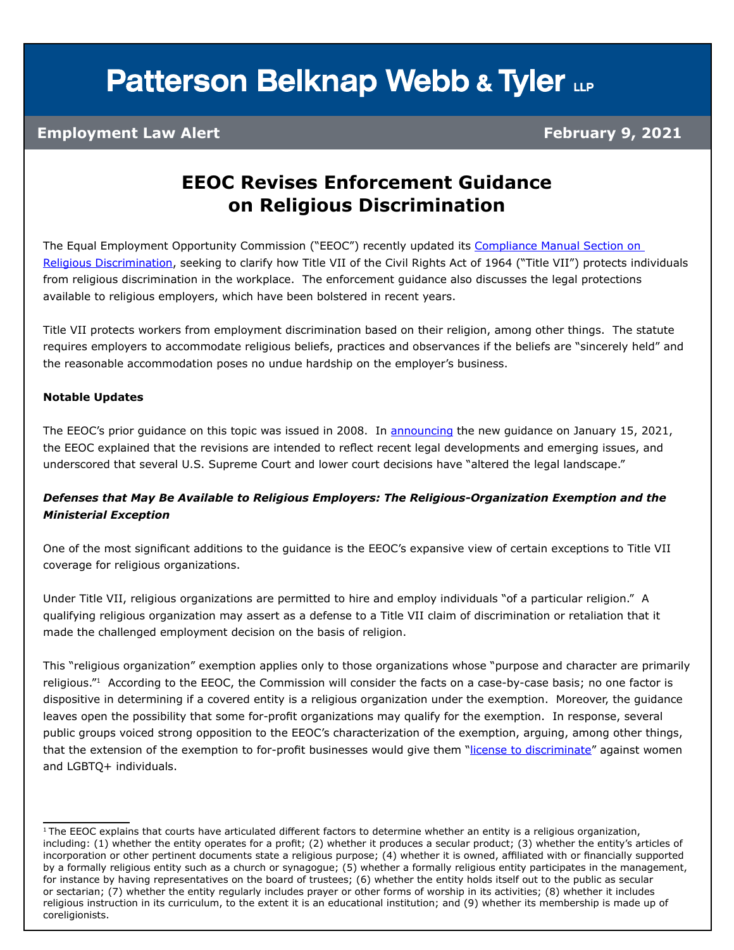## **Patterson Belknap Webb & Tyler LLP**

### **Employment Law Alert February 9, 2021**

### **EEOC Revises Enforcement Guidance on Religious Discrimination**

The Equal Employment Opportunity Commission ("EEOC") recently updated its Compliance Manual Section on [Religious Discrimination](https://www.eeoc.gov/laws/guidance/section-12-religious-discrimination), seeking to clarify how Title VII of the Civil Rights Act of 1964 ("Title VII") protects individuals from religious discrimination in the workplace. The enforcement guidance also discusses the legal protections available to religious employers, which have been bolstered in recent years.

Title VII protects workers from employment discrimination based on their religion, among other things. The statute requires employers to accommodate religious beliefs, practices and observances if the beliefs are "sincerely held" and the reasonable accommodation poses no undue hardship on the employer's business.

#### **Notable Updates**

The EEOC's prior guidance on this topic was issued in 2008. In [announcing](https://www.eeoc.gov/newsroom/commission-approves-revised-enforcement-guidance-religious-discrimination) the new guidance on January 15, 2021, the EEOC explained that the revisions are intended to reflect recent legal developments and emerging issues, and underscored that several U.S. Supreme Court and lower court decisions have "altered the legal landscape."

### *Defenses that May Be Available to Religious Employers: The Religious-Organization Exemption and the Ministerial Exception*

One of the most significant additions to the guidance is the EEOC's expansive view of certain exceptions to Title VII coverage for religious organizations.

Under Title VII, religious organizations are permitted to hire and employ individuals "of a particular religion." A qualifying religious organization may assert as a defense to a Title VII claim of discrimination or retaliation that it made the challenged employment decision on the basis of religion.

This "religious organization" exemption applies only to those organizations whose "purpose and character are primarily religious."<sup>1</sup> According to the EEOC, the Commission will consider the facts on a case-by-case basis; no one factor is dispositive in determining if a covered entity is a religious organization under the exemption. Moreover, the guidance leaves open the possibility that some for-profit organizations may qualify for the exemption. In response, several public groups voiced strong opposition to the EEOC's characterization of the exemption, arguing, among other things, that the extension of the exemption to for-profit businesses would give them "[license to discriminate](https://beta.regulations.gov/document/EEOC-2020-0007-0060)" against women and LGBTQ+ individuals.

<sup>&</sup>lt;sup>1</sup>The EEOC explains that courts have articulated different factors to determine whether an entity is a religious organization, including: (1) whether the entity operates for a profit; (2) whether it produces a secular product; (3) whether the entity's articles of incorporation or other pertinent documents state a religious purpose; (4) whether it is owned, affiliated with or financially supported by a formally religious entity such as a church or synagogue; (5) whether a formally religious entity participates in the management, for instance by having representatives on the board of trustees; (6) whether the entity holds itself out to the public as secular or sectarian; (7) whether the entity regularly includes prayer or other forms of worship in its activities; (8) whether it includes religious instruction in its curriculum, to the extent it is an educational institution; and (9) whether its membership is made up of coreligionists.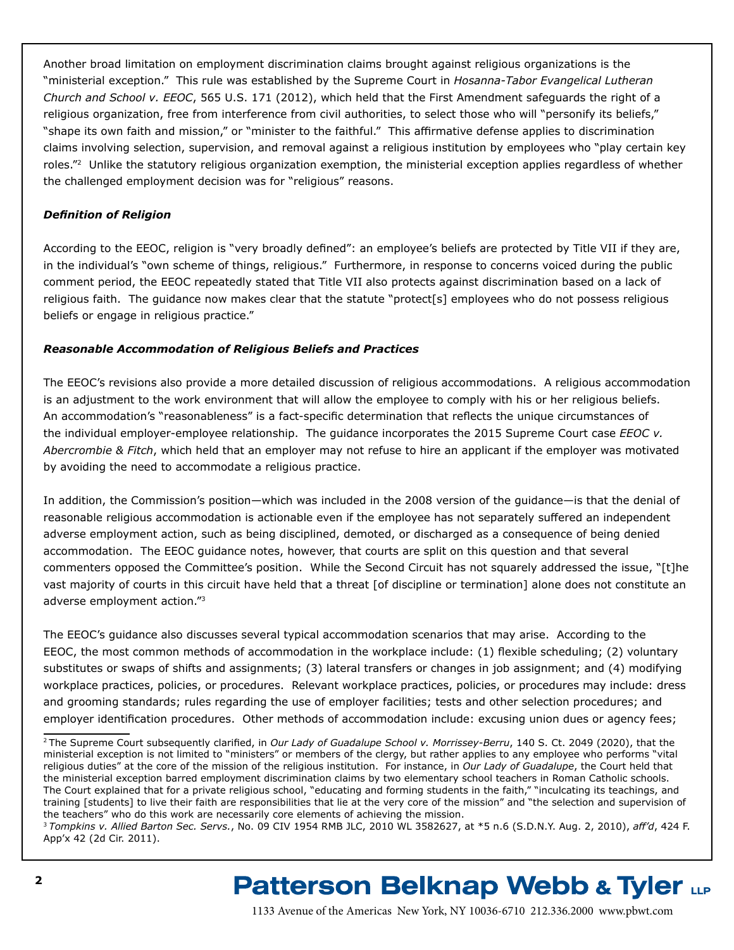Another broad limitation on employment discrimination claims brought against religious organizations is the "ministerial exception." This rule was established by the Supreme Court in *Hosanna-Tabor Evangelical Lutheran Church and School v. EEOC*, 565 U.S. 171 (2012), which held that the First Amendment safeguards the right of a religious organization, free from interference from civil authorities, to select those who will "personify its beliefs," "shape its own faith and mission," or "minister to the faithful." This affirmative defense applies to discrimination claims involving selection, supervision, and removal against a religious institution by employees who "play certain key roles."2 Unlike the statutory religious organization exemption, the ministerial exception applies regardless of whether the challenged employment decision was for "religious" reasons.

### *Definition of Religion*

According to the EEOC, religion is "very broadly defined": an employee's beliefs are protected by Title VII if they are, in the individual's "own scheme of things, religious." Furthermore, in response to concerns voiced during the public comment period, the EEOC repeatedly stated that Title VII also protects against discrimination based on a lack of religious faith. The guidance now makes clear that the statute "protect[s] employees who do not possess religious beliefs or engage in religious practice."

#### *Reasonable Accommodation of Religious Beliefs and Practices*

The EEOC's revisions also provide a more detailed discussion of religious accommodations. A religious accommodation is an adjustment to the work environment that will allow the employee to comply with his or her religious beliefs. An accommodation's "reasonableness" is a fact-specific determination that reflects the unique circumstances of the individual employer-employee relationship. The guidance incorporates the 2015 Supreme Court case *EEOC v. Abercrombie & Fitch*, which held that an employer may not refuse to hire an applicant if the employer was motivated by avoiding the need to accommodate a religious practice.

In addition, the Commission's position—which was included in the 2008 version of the guidance—is that the denial of reasonable religious accommodation is actionable even if the employee has not separately suffered an independent adverse employment action, such as being disciplined, demoted, or discharged as a consequence of being denied accommodation. The EEOC guidance notes, however, that courts are split on this question and that several commenters opposed the Committee's position. While the Second Circuit has not squarely addressed the issue, "[t]he vast majority of courts in this circuit have held that a threat [of discipline or termination] alone does not constitute an adverse employment action."<sup>3</sup>

The EEOC's guidance also discusses several typical accommodation scenarios that may arise. According to the EEOC, the most common methods of accommodation in the workplace include: (1) flexible scheduling; (2) voluntary substitutes or swaps of shifts and assignments; (3) lateral transfers or changes in job assignment; and (4) modifying workplace practices, policies, or procedures. Relevant workplace practices, policies, or procedures may include: dress and grooming standards; rules regarding the use of employer facilities; tests and other selection procedures; and employer identification procedures. Other methods of accommodation include: excusing union dues or agency fees;

### **Patterson Belknap Webb & Tyler LLP**

<sup>2</sup>The Supreme Court subsequently clarified, in *Our Lady of Guadalupe School v. Morrissey-Berru*, 140 S. Ct. 2049 (2020), that the ministerial exception is not limited to "ministers" or members of the clergy, but rather applies to any employee who performs "vital religious duties" at the core of the mission of the religious institution. For instance, in *Our Lady of Guadalupe*, the Court held that the ministerial exception barred employment discrimination claims by two elementary school teachers in Roman Catholic schools. The Court explained that for a private religious school, "educating and forming students in the faith," "inculcating its teachings, and training [students] to live their faith are responsibilities that lie at the very core of the mission" and "the selection and supervision of the teachers" who do this work are necessarily core elements of achieving the mission.

<sup>3</sup>*Tompkins v. Allied Barton Sec. Servs.*, No. 09 CIV 1954 RMB JLC, 2010 WL 3582627, at \*5 n.6 (S.D.N.Y. Aug. 2, 2010), *aff'd*, 424 F. App'x 42 (2d Cir. 2011).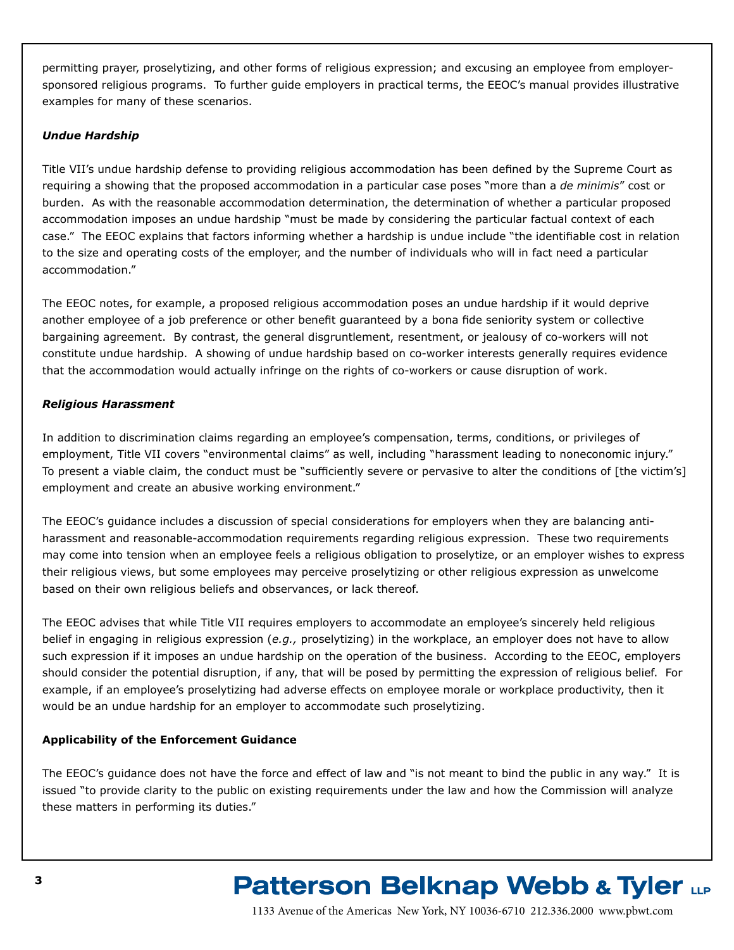permitting prayer, proselytizing, and other forms of religious expression; and excusing an employee from employersponsored religious programs. To further guide employers in practical terms, the EEOC's manual provides illustrative examples for many of these scenarios.

### *Undue Hardship*

Title VII's undue hardship defense to providing religious accommodation has been defined by the Supreme Court as requiring a showing that the proposed accommodation in a particular case poses "more than a *de minimis*" cost or burden. As with the reasonable accommodation determination, the determination of whether a particular proposed accommodation imposes an undue hardship "must be made by considering the particular factual context of each case." The EEOC explains that factors informing whether a hardship is undue include "the identifiable cost in relation to the size and operating costs of the employer, and the number of individuals who will in fact need a particular accommodation."

The EEOC notes, for example, a proposed religious accommodation poses an undue hardship if it would deprive another employee of a job preference or other benefit guaranteed by a bona fide seniority system or collective bargaining agreement. By contrast, the general disgruntlement, resentment, or jealousy of co-workers will not constitute undue hardship. A showing of undue hardship based on co-worker interests generally requires evidence that the accommodation would actually infringe on the rights of co-workers or cause disruption of work.

### *Religious Harassment*

In addition to discrimination claims regarding an employee's compensation, terms, conditions, or privileges of employment, Title VII covers "environmental claims" as well, including "harassment leading to noneconomic injury." To present a viable claim, the conduct must be "sufficiently severe or pervasive to alter the conditions of [the victim's] employment and create an abusive working environment."

The EEOC's guidance includes a discussion of special considerations for employers when they are balancing antiharassment and reasonable-accommodation requirements regarding religious expression. These two requirements may come into tension when an employee feels a religious obligation to proselytize, or an employer wishes to express their religious views, but some employees may perceive proselytizing or other religious expression as unwelcome based on their own religious beliefs and observances, or lack thereof.

The EEOC advises that while Title VII requires employers to accommodate an employee's sincerely held religious belief in engaging in religious expression (*e.g.,* proselytizing) in the workplace, an employer does not have to allow such expression if it imposes an undue hardship on the operation of the business. According to the EEOC, employers should consider the potential disruption, if any, that will be posed by permitting the expression of religious belief. For example, if an employee's proselytizing had adverse effects on employee morale or workplace productivity, then it would be an undue hardship for an employer to accommodate such proselytizing.

### **Applicability of the Enforcement Guidance**

The EEOC's guidance does not have the force and effect of law and "is not meant to bind the public in any way." It is issued "to provide clarity to the public on existing requirements under the law and how the Commission will analyze these matters in performing its duties."

# **Patterson Belknap Webb & Tyler LLP**

1133 Avenue of the Americas New York, NY 10036-6710 212.336.2000 <www.pbwt.com>